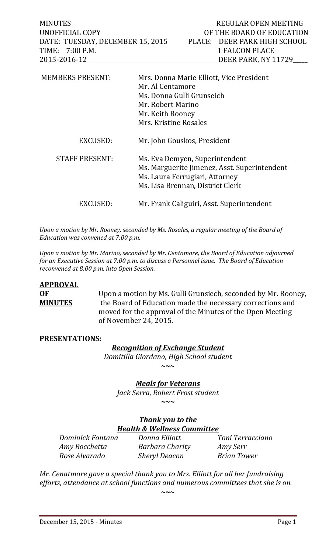| <b>MINUTES</b><br>UNOFFICIAL COPY<br>DATE: TUESDAY, DECEMBER 15, 2015<br>TIME: 7:00 P.M. | PLACE:                                                                                                                                               | REGULAR OPEN MEETING<br>OF THE BOARD OF EDUCATION<br>DEER PARK HIGH SCHOOL<br><b>1 FALCON PLACE</b> |
|------------------------------------------------------------------------------------------|------------------------------------------------------------------------------------------------------------------------------------------------------|-----------------------------------------------------------------------------------------------------|
| 2015-2016-12<br><b>MEMBERS PRESENT:</b>                                                  | Mrs. Donna Marie Elliott, Vice President<br>Mr. Al Centamore                                                                                         | DEER PARK, NY 11729                                                                                 |
|                                                                                          | Ms. Donna Gulli Grunseich<br>Mr. Robert Marino<br>Mr. Keith Rooney<br>Mrs. Kristine Rosales                                                          |                                                                                                     |
| EXCUSED:                                                                                 | Mr. John Gouskos, President                                                                                                                          |                                                                                                     |
| <b>STAFF PRESENT:</b>                                                                    | Ms. Eva Demyen, Superintendent<br>Ms. Marguerite Jimenez, Asst. Superintendent<br>Ms. Laura Ferrugiari, Attorney<br>Ms. Lisa Brennan, District Clerk |                                                                                                     |
| EXCUSED:                                                                                 | Mr. Frank Caliguiri, Asst. Superintendent                                                                                                            |                                                                                                     |

*Upon a motion by Mr. Rooney, seconded by Ms. Rosales, a regular meeting of the Board of Education was convened at 7:00 p.m.*

*Upon a motion by Mr. Marino, seconded by Mr. Centamore, the Board of Education adjourned for an Executive Session at 7:00 p.m. to discuss a Personnel issue. The Board of Education reconvened at 8:00 p.m. into Open Session.* 

# **APPROVAL**

**OF** Upon a motion by Ms. Gulli Grunsiech, seconded by Mr. Rooney,<br>**MINUTES** the Board of Education made the necessary corrections and the Board of Education made the necessary corrections and moved for the approval of the Minutes of the Open Meeting of November 24, 2015.

### **PRESENTATIONS:**

# *Recognition of Exchange Student*

*Domitilla Giordano, High School student* **~~~**

*Meals for Veterans*

*Jack Serra, Robert Frost student*

**~~~**

# *Thank you to the Health & Wellness Committee*

*Dominick Fontana Donna Elliott Toni Terracciano Amy Rocchetta Barbara Charity Amy Serr Rose Alvarado Sheryl Deacon Brian Tower*

*Mr. Cenatmore gave a special thank you to Mrs. Elliott for all her fundraising efforts, attendance at school functions and numerous committees that she is on.*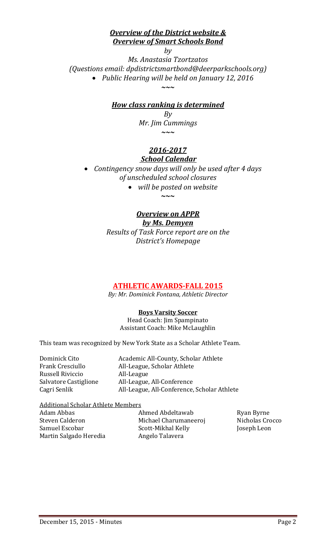# *Overview of the District website & Overview of Smart Schools Bond*

*by Ms. Anastasia Tzortzatos (Questions email: dpdistrictsmartbond@deerparkschools.org)* • *Public Hearing will be held on January 12, 2016 ~~~*

# *How class ranking is determined*

*By Mr. Jim Cummings ~~~*

# *2016-2017 School Calendar*

• *Contingency snow days will only be used after 4 days of unscheduled school closures*

> • *will be posted on website* **~~~**

# *Overview on APPR by Ms. Demyen*

*Results of Task Force report are on the District's Homepage*

# **ATHLETIC AWARDS-FALL 2015**

*By: Mr. Dominick Fontana, Athletic Director*

**Boys Varsity Soccer**

Head Coach: Jim Spampinato Assistant Coach: Mike McLaughlin

This team was recognized by New York State as a Scholar Athlete Team.

| Dominick Cito         | Academic All-County, Scholar Athlete        |
|-----------------------|---------------------------------------------|
| Frank Cresciullo      | All-League, Scholar Athlete                 |
| Russell Riviccio      | All-League                                  |
| Salvatore Castiglione | All-League, All-Conference                  |
| Cagri Senlik          | All-League, All-Conference, Scholar Athlete |
|                       |                                             |

Additional Scholar Athlete Members

| Adam Abbas             |  |
|------------------------|--|
| Steven Calderon        |  |
| Samuel Escobar         |  |
| Martin Salgado Heredia |  |

Ahmed Abdeltawab Ryan Byrne<br>Michael Charumaneeroj Nicholas Crocco Steven Calderon Michael Charumaneeroj Nicholas Crocco Scott-Mikhal Kelly Angelo Talavera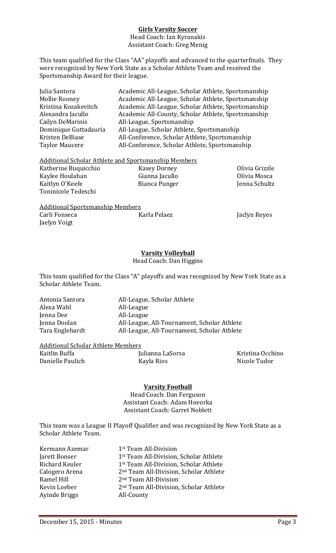#### **Girls Varsity Soccer**

Head Coach: Ian Kyranakis Assistant Coach: Greg Menig

This team qualified for the Class "AA" playoffs and advanced to the quarterfinals. They were recognized by New York State as a Scholar Athlete Team and received the Sportsmanship Award for their league.

| Julia Santora         | Academic All-League, Scholar Athlete, Sportsmanship |
|-----------------------|-----------------------------------------------------|
| <b>Mollie Rooney</b>  | Academic All-League, Scholar Athlete, Sportsmanship |
| Kristina Kozakevitch  | Academic All-League, Scholar Athlete, Sportsmanship |
| Alexandra Jacullo     | Academic All-County, Scholar Athlete, Sportsmanship |
| Cailyn DeMarinis      | All-League, Sportsmanship                           |
| Dominique Guttadauria | All-League, Scholar Athlete, Sportsmanship          |
| Kristen DeBiase       | All-Conference, Scholar Athlete, Sportsmanship      |
| <b>Taylor Maucere</b> | All-Conference, Scholar Athlete, Sportsmanship      |
|                       |                                                     |

#### Additional Scholar Athlete and Sportsmanship Members

| Katherine Buquicchio | Kasey Dorney   | Olivia Grizzle |
|----------------------|----------------|----------------|
| Kaylee Houlahan      | Gianna Jacullo | Olivia Mosca   |
| Kaitlyn O'Keefe      | Bianca Punger  | Jenna Schultz  |
| Toninicole Tedeschi  |                |                |
|                      |                |                |

Additional Sportsmanship Members<br>Carli Fonseca (Karla Pelaez Jaelyn Voigt

Jaclyn Reyes

#### **Varsity Volleyball**

Head Coach: Dan Higgins

This team qualified for the Class "A" playoffs and was recognized by New York State as a Scholar Athlete Team.

| Antonia Santora | All-League, Scholar Athlete                 |
|-----------------|---------------------------------------------|
| Alexa Wahl      | All-League                                  |
| Jenna Dee       | All-League                                  |
| Jenna Doolan    | All-League, All-Tournament, Scholar Athlete |
| Tara Englehardt | All-League, All-Tournament, Scholar Athlete |
|                 |                                             |

# Additional Scholar Athlete Members

Danielle Paulich

<u>x</u><br>Julianna LaSorsa Kristina Occhino<br>Kayla Rios Kayla Ricole Tudor

#### **Varsity Football**

Head Coach: Dan Ferguson Assistant Coach: Adam Hovorka Assistant Coach: Garret Noblett

This team was a League II Playoff Qualifier and was recognized by New York State as a Scholar Athlete Team.

| 1 <sup>st</sup> Team All-Division                  |
|----------------------------------------------------|
| 1 <sup>st</sup> Team All-Division, Scholar Athlete |
| 1 <sup>st</sup> Team All-Division, Scholar Athlete |
| 2 <sup>nd</sup> Team All-Division, Scholar Athlete |
| 2 <sup>nd</sup> Team All-Division                  |
| 2 <sup>nd</sup> Team All-Division, Scholar Athlete |
| All-County                                         |
|                                                    |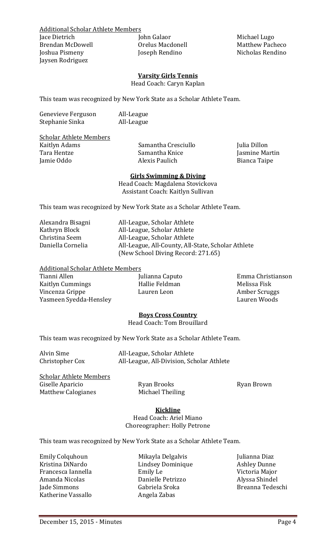Jaysen Rodriguez

Additional Scholar Athlete Members Jace Dietrich John Galaor Michael Lugo Joseph Rendino

#### **Varsity Girls Tennis**

Head Coach: Caryn Kaplan

This team was recognized by New York State as a Scholar Athlete Team.

| Genevieve Ferguson | All-League |
|--------------------|------------|
| Stephanie Sinka    | All-League |

# Scholar Athlete Members<br>Kaitlyn Adams

Kaitlyn Adams Samantha Cresciullo Julia Dillon Tara Hentze Samantha Knice Jasmine Martin

Bianca Taipe

#### **Girls Swimming & Diving**

Head Coach: Magdalena Stovickova Assistant Coach: Kaitlyn Sullivan

This team was recognized by New York State as a Scholar Athlete Team.

| Alexandra Bisagni | A  |
|-------------------|----|
| Kathryn Block     | A  |
| Christina Seem    | Al |
| Daniella Cornelia | A  |
|                   |    |

ll-League, Scholar Athlete Il-League, Scholar Athlete ll-League, Scholar Athlete ll-League, All-County, All-State, Scholar Athlete (New School Diving Record: 271.65)

# Additional Scholar Athlete Members

Kaitlyn Cummings Hallie Feldman Melissa Fisk Vincenza Grippe Lauren Leon Amber Scruggs Yasmeen Syedda-Hensley

Tianni Allen Julianna Caputo Emma Christianson

#### **Boys Cross Country**

Head Coach: Tom Brouillard

This team was recognized by New York State as a Scholar Athlete Team.

Alvin Sime **All-League, Scholar Athlete**<br>Christopher Cox **All-League, All-Division, Scho** All-League, All-Division, Scholar Athlete

Scholar Athlete Members Giselle Aparicio Ryan Brooks Ryan Brown Matthew Calogianes

#### **Kickline**

Head Coach: Ariel Miano Choreographer: Holly Petrone

This team was recognized by New York State as a Scholar Athlete Team.

Emily Colquhoun Mikayla Delgalvis Julianna Diaz Francesca Iannella Emily Le Victoria Major Amanda Nicolas Danielle Petrizzo Alyssa Shindel Katherine Vassallo

Kristina DiNardo Lindsey Dominique Ashley Dunne Gabriela Sroka Breanna Tedeschi<br>Angela Zabas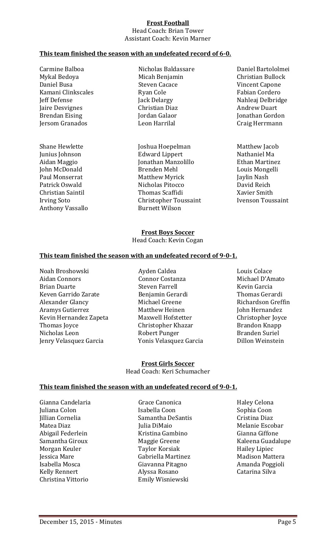#### **Frost Football**

Head Coach: Brian Tower Assistant Coach: Kevin Marner

#### **This team finished the season with an undefeated record of 6-0.**

Carmine Balboa Nicholas Baldassare Daniel Bartololmei Mykal Bedoya Micah Benjamin Christian Bullock<br>Maniel Busa Bullock Steven Cacace Kamani Clinkscales<br>Teff Defense Fack Delargy Jaire Desvignes Christian Diaz Andrew Duart Jersom Granados

Anthony Vassallo

Daniel Busa Steven Cacace Vincent Capone Brendan Eising Jordan Galaor Jonathan Gordon

Shane Hewlette Joshua Hoepelman Matthew Jacob Junius Johnson Edward Lippert Nathaniel Ma Aidan Maggio Jonathan Manzolillo Ethan Martinez John McDonald Brenden Mehl Louis Mongelli Paul Monserrat Matthew Myrick Jaylin Nash Patrick Oswald Nicholas Pitocco David Reich Christian Saintil Thomas Scaffidi Xavier Smith Christopher Toussaint<br>Burnett Wilson

Jeff Defense Jack Delargy Nahleaj Delbridge

#### **Frost Boys Soccer**

Head Coach: Kevin Cogan

#### **This team finished the season with an undefeated record of 9-0-1.**

Noah Broshowski Ayden Caldea Louis Colace Aidan Connors Connor Costanza Michael D'Amato Brian Duarte **Steven Farrell** Kevin Garcia Keven Garrido Zarate Benjamin Gerardi Thomas Gerardi Alexander Glancy Michael Greene Richardson Greffin Aramys Gutierrez Matthew Heinen John Hernandez Kevin Hernandez Zapeta Maxwell Hofstetter Christopher Joyce<br>
Christopher Khazar Brandon Knapp Thomas Joyce Christopher Khazar Brandon Knapp Nicholas Leon Robert Punger Branden Suriel

Yonis Velasquez Garcia

**Frost Girls Soccer** Head Coach: Keri Schumacher

#### **This team finished the season with an undefeated record of 9-0-1.**

Abigail Federlein Kristina Gambino<br>Samantha Giroux Maggie Greene Kelly Rennert Alyssa Rosano Catarina Silva

Gianna Candelaria Grace Canonica Haley Celona Juliana Colon Isabella Coon Sophia Coon Sophia Coon Samantha DeSantis Jillian Cornelia Samantha DeSantis Cristina Diaz Matea Diaz Julia DiMaio Melanie Escobar Samantha Giroux Maggie Greene Kaleena Guadalupe Morgan Keuler Taylor Korsiak Hailey Lipiec Jessica Mare Gabriella Martinez Madison Mattera Isabella Mosca Giavanna Pitagno Amanda Poggioli Emily Wisniewski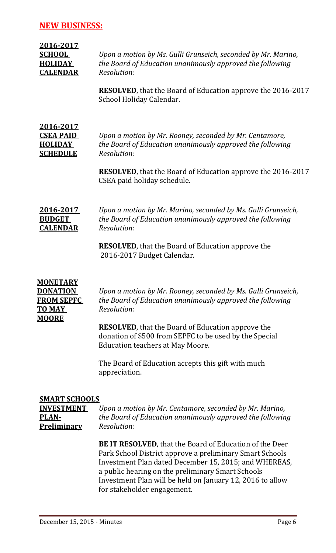### **NEW BUSINESS:**

| 2016-2017<br><b>SCHOOL</b><br><b>HOLIDAY</b><br><b>CALENDAR</b>           | Upon a motion by Ms. Gulli Grunseich, seconded by Mr. Marino,<br>the Board of Education unanimously approved the following<br>Resolution:<br>RESOLVED, that the Board of Education approve the 2016-2017<br>School Holiday Calendar.      |
|---------------------------------------------------------------------------|-------------------------------------------------------------------------------------------------------------------------------------------------------------------------------------------------------------------------------------------|
| <u>2016-2017</u><br><b>CSEA PAID</b><br><b>HOLIDAY</b><br><b>SCHEDULE</b> | Upon a motion by Mr. Rooney, seconded by Mr. Centamore,<br>the Board of Education unanimously approved the following<br>Resolution:<br><b>RESOLVED</b> , that the Board of Education approve the 2016-2017<br>CSEA paid holiday schedule. |
| 2016-2017<br><b>BUDGET</b><br><b>CALENDAR</b>                             | Upon a motion by Mr. Marino, seconded by Ms. Gulli Grunseich,<br>the Board of Education unanimously approved the following<br>Resolution:<br><b>RESOLVED</b> , that the Board of Education approve the<br>2016-2017 Budget Calendar.      |

# **MONETARY TO MAY** *Resolution:* **MOORE**

**DONATION** *Upon a motion by Mr. Rooney, seconded by Ms. Gulli Grunseich,* **FROM SEPFC** *the Board of Education unanimously approved the following*

> **RESOLVED**, that the Board of Education approve the donation of \$500 from SEPFC to be used by the Special Education teachers at May Moore.

The Board of Education accepts this gift with much appreciation.

# **SMART SCHOOLS**

**INVESTMENT** *Upon a motion by Mr. Centamore, seconded by Mr. Marino,* **PLAN-** *the Board of Education unanimously approved the following* **Preliminary** *Resolution:*

> **BE IT RESOLVED**, that the Board of Education of the Deer Park School District approve a preliminary Smart Schools Investment Plan dated December 15, 2015; and WHEREAS, a public hearing on the preliminary Smart Schools Investment Plan will be held on January 12, 2016 to allow for stakeholder engagement.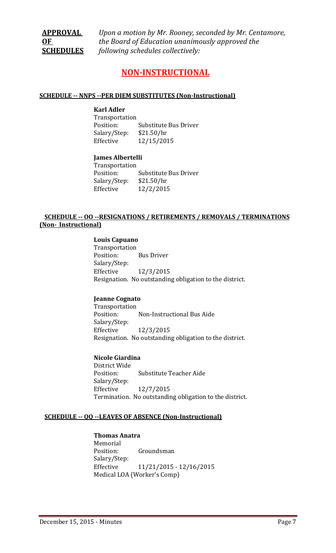**APPROVAL** *Upon a motion by Mr. Rooney, seconded by Mr. Centamore,* **OF** *the Board of Education unanimously approved the*  **SCHEDULES** *following schedules collectively:*

# **NON-INSTRUCTIONAL**

#### **SCHEDULE -- NNPS --PER DIEM SUBSTITUTES (Non-Instructional)**

#### **Karl Adler**

Transportation **Substitute Bus Driver** Salary/Step: \$21.50/hr Effective 12/15/2015

#### **James Albertelli**

Transportation Substitute Bus Driver Salary/Step: \$21.50/hr<br>Effective 12/2/201! Effective 12/2/2015

#### **SCHEDULE -- OO --RESIGNATIONS / RETIREMENTS / REMOVALS / TERMINATIONS (Non- Instructional)**

#### **Louis Capuano**

Transportation<br>Position: **Bus Driver** Salary/Step: Effective 12/3/2015 Resignation. No outstanding obligation to the district.

#### **Jeanne Cognato**

Transportation<br>Position: Non-Instructional Bus Aide Salary/Step: Effective 12/3/2015 Resignation. No outstanding obligation to the district.

#### **Nicole Giardina**

District Wide Substitute Teacher Aide Salary/Step: Effective 12/7/2015 Termination. No outstanding obligation to the district.

#### **SCHEDULE -- QQ --LEAVES OF ABSENCE (Non-Instructional)**

#### **Thomas Anatra**

Memorial<br>Position: Groundsman Salary/Step: Effective 11/21/2015 - 12/16/2015 Medical LOA (Worker's Comp)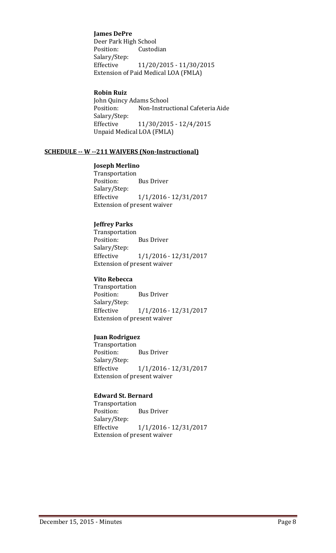#### **James DePre**

Deer Park High School<br>Position: Custod Custodian Salary/Step: Effective 11/20/2015 - 11/30/2015 Extension of Paid Medical LOA (FMLA)

#### **Robin Ruiz**

John Quincy Adams School<br>Position: Non-Instru Non-Instructional Cafeteria Aide Salary/Step: Effective 11/30/2015 - 12/4/2015 Unpaid Medical LOA (FMLA)

#### **SCHEDULE -- W --211 WAIVERS (Non-Instructional)**

#### **Joseph Merlino**

Transportation<br>Position: **Bus Driver** Salary/Step: Effective 1/1/2016 - 12/31/2017 Extension of present waiver

#### **Jeffrey Parks**

Transportation<br>Position: **Bus Driver** Salary/Step: Effective 1/1/2016 - 12/31/2017 Extension of present waiver

#### **Vito Rebecca**

Transportation<br>Position: Bus Driver Salary/Step: Effective 1/1/2016 - 12/31/2017 Extension of present waiver

#### **Juan Rodriguez**

Transportation<br>Position: **Bus Driver** Salary/Step: Effective 1/1/2016 - 12/31/2017 Extension of present waiver

#### **Edward St. Bernard**

Transportation<br>Position: **Bus Driver** Salary/Step: Effective 1/1/2016 - 12/31/2017 Extension of present waiver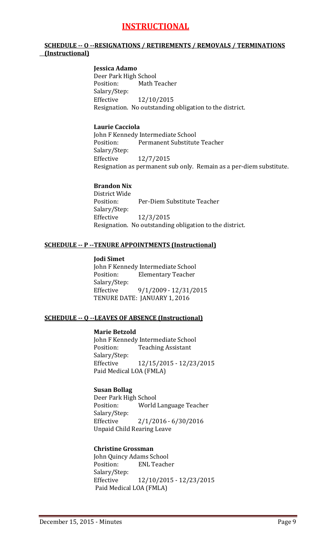# **INSTRUCTIONAL**

#### **SCHEDULE -- O --RESIGNATIONS / RETIREMENTS / REMOVALS / TERMINATIONS (Instructional)**

#### **Jessica Adamo**

Deer Park High School<br>Position: Math T Math Teacher Salary/Step:<br>Effective Effective 12/10/2015 Resignation. No outstanding obligation to the district.

#### **Laurie Cacciola**

John F Kennedy Intermediate School<br>Position: Permanent Substitute Permanent Substitute Teacher Salary/Step:<br>Effective Effective 12/7/2015 Resignation as permanent sub only. Remain as a per-diem substitute.

#### **Brandon Nix**

District Wide Per-Diem Substitute Teacher Salary/Step:<br>Effective Effective 12/3/2015 Resignation. No outstanding obligation to the district.

#### **SCHEDULE -- P --TENURE APPOINTMENTS (Instructional)**

#### **Jodi Simet**

John F Kennedy Intermediate School<br>Position: Flementary Teacher **Elementary Teacher** Salary/Step:<br>Effective Effective 9/1/2009 - 12/31/2015 TENURE DATE: JANUARY 1, 2016

#### **SCHEDULE -- Q --LEAVES OF ABSENCE (Instructional)**

#### **Marie Betzold**

John F Kennedy Intermediate School<br>Position: Teaching Assistant **Teaching Assistant** Salary/Step: Effective 12/15/2015 - 12/23/2015 Paid Medical LOA (FMLA)

#### **Susan Bollag**

Deer Park High School<br>Position: World World Language Teacher Salary/Step:<br>Effective  $2/1/2016 - 6/30/2016$ Unpaid Child Rearing Leave

#### **Christine Grossman**

John Quincy Adams School<br>Position: ENL Teache **ENL Teacher** Salary/Step:<br>Effective Effective 12/10/2015 - 12/23/2015 Paid Medical LOA (FMLA)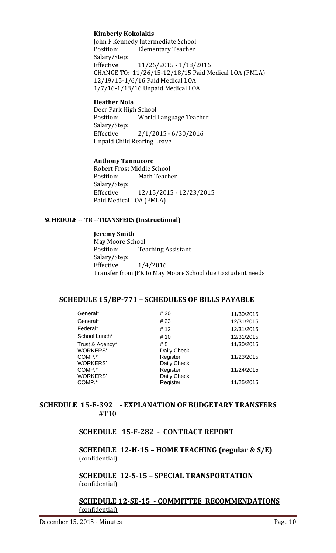#### **Kimberly Kokolakis**

John F Kennedy Intermediate School<br>Position: Elementary Teacher **Elementary Teacher** Salary/Step:<br>Effective Effective 11/26/2015 - 1/18/2016 CHANGE TO: 11/26/15-12/18/15 Paid Medical LOA (FMLA) 12/19/15-1/6/16 Paid Medical LOA 1/7/16-1/18/16 Unpaid Medical LOA

#### **Heather Nola**

Deer Park High School<br>Position: World World Language Teacher Salary/Step:<br>Effective  $2/1/2015 - 6/30/2016$ Unpaid Child Rearing Leave

#### **Anthony Tannacore**

Robert Frost Middle School<br>Position: Math Teach Math Teacher Salary/Step: Effective 12/15/2015 - 12/23/2015 Paid Medical LOA (FMLA)

#### **SCHEDULE -- TR --TRANSFERS (Instructional)**

#### **Jeremy Smith**

May Moore School<br>Position: Tea **Teaching Assistant** Salary/Step:<br>Effective Effective 1/4/2016 Transfer from JFK to May Moore School due to student needs

#### **SCHEDULE 15/BP-771 – SCHEDULES OF BILLS PAYABLE**

| # 20        | 11/30/2015  |
|-------------|-------------|
| # 23        | 12/31/2015  |
| # 12        | 12/31/2015  |
| # 10        | 12/31/2015  |
| # 5         | 11/30/2015  |
| Daily Check |             |
| Register    | 11/23/2015  |
|             |             |
| Register    | 11/24/2015  |
| Daily Check |             |
| Register    | 11/25/2015  |
|             | Daily Check |

#### **SCHEDULE 15-E-392 - EXPLANATION OF BUDGETARY TRANSFERS** #T10

### **SCHEDULE 15-F-282 - CONTRACT REPORT**

**SCHEDULE 12-H-15 – HOME TEACHING (regular & S/E)**  (confidential)

**SCHEDULE 12-S-15 – SPECIAL TRANSPORTATION**  (confidential)

#### **SCHEDULE 12-SE-15 - COMMITTEE RECOMMENDATIONS** (confidential)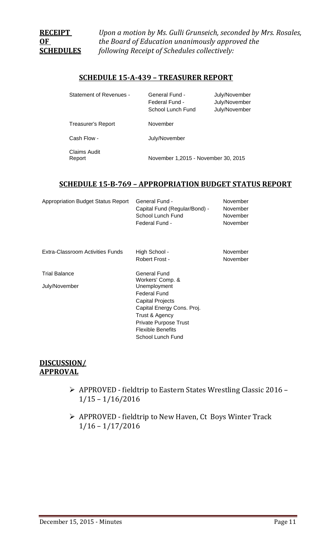**RECEIPT** *Upon a motion by Ms. Gulli Grunseich, seconded by Mrs. Rosales,* **OF** *the Board of Education unanimously approved the*  **SCHEDULES** *following Receipt of Schedules collectively:*

#### **SCHEDULE 15-A-439 – TREASURER REPORT**

| Statement of Revenues - | General Fund -<br>Federal Fund -<br>School Lunch Fund | July/November<br>July/November<br>July/November |
|-------------------------|-------------------------------------------------------|-------------------------------------------------|
| Treasurer's Report      | November                                              |                                                 |
| Cash Flow -             | July/November                                         |                                                 |
| Claims Audit<br>Report  | November 1,2015 - November 30, 2015                   |                                                 |

#### **SCHEDULE 15-B-769 – APPROPRIATION BUDGET STATUS REPORT**

| <b>Appropriation Budget Status Report</b> | General Fund -                | November |
|-------------------------------------------|-------------------------------|----------|
|                                           | Capital Fund (Regular/Bond) - | November |
|                                           | School Lunch Fund             | November |
|                                           | Federal Fund -                | November |
|                                           |                               |          |

Extra-Classroom Activities Funds High School - November

July/November

Robert Frost - November

Trial Balance General Fund Workers' Comp. & Unemployment Federal Fund Capital Projects Capital Energy Cons. Proj. Trust & Agency Private Purpose Trust Flexible Benefits School Lunch Fund

### **DISCUSSION/ APPROVAL**

- APPROVED fieldtrip to Eastern States Wrestling Classic 2016 1/15 – 1/16/2016
- APPROVED fieldtrip to New Haven, Ct Boys Winter Track 1/16 – 1/17/2016